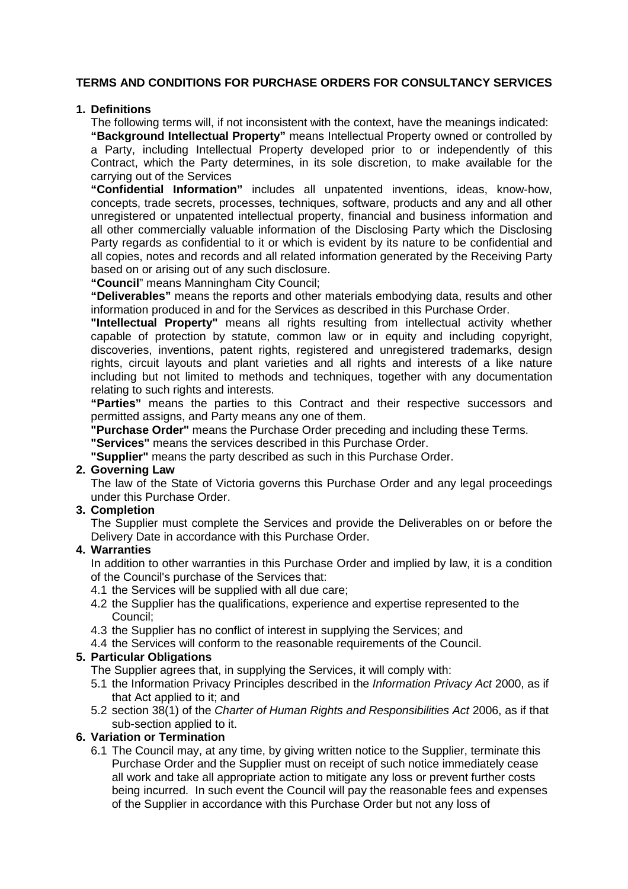# **TERMS AND CONDITIONS FOR PURCHASE ORDERS FOR CONSULTANCY SERVICES**

### **1. Definitions**

The following terms will, if not inconsistent with the context, have the meanings indicated:

**"Background Intellectual Property"** means Intellectual Property owned or controlled by a Party, including Intellectual Property developed prior to or independently of this Contract, which the Party determines, in its sole discretion, to make available for the carrying out of the Services

**"Confidential Information"** includes all unpatented inventions, ideas, know-how, concepts, trade secrets, processes, techniques, software, products and any and all other unregistered or unpatented intellectual property, financial and business information and all other commercially valuable information of the Disclosing Party which the Disclosing Party regards as confidential to it or which is evident by its nature to be confidential and all copies, notes and records and all related information generated by the Receiving Party based on or arising out of any such disclosure.

**"Council**" means Manningham City Council;

**"Deliverables"** means the reports and other materials embodying data, results and other information produced in and for the Services as described in this Purchase Order.

**"Intellectual Property"** means all rights resulting from intellectual activity whether capable of protection by statute, common law or in equity and including copyright, discoveries, inventions, patent rights, registered and unregistered trademarks, design rights, circuit layouts and plant varieties and all rights and interests of a like nature including but not limited to methods and techniques, together with any documentation relating to such rights and interests.

**"Parties"** means the parties to this Contract and their respective successors and permitted assigns, and Party means any one of them.

**"Purchase Order"** means the Purchase Order preceding and including these Terms.

**"Services"** means the services described in this Purchase Order.

**"Supplier"** means the party described as such in this Purchase Order.

# **2. Governing Law**

The law of the State of Victoria governs this Purchase Order and any legal proceedings under this Purchase Order.

#### **3. Completion**

The Supplier must complete the Services and provide the Deliverables on or before the Delivery Date in accordance with this Purchase Order.

### **4. Warranties**

In addition to other warranties in this Purchase Order and implied by law, it is a condition of the Council's purchase of the Services that:

- 4.1 the Services will be supplied with all due care;
- 4.2 the Supplier has the qualifications, experience and expertise represented to the Council;
- 4.3 the Supplier has no conflict of interest in supplying the Services; and
- 4.4 the Services will conform to the reasonable requirements of the Council.

### **5. Particular Obligations**

The Supplier agrees that, in supplying the Services, it will comply with:

- 5.1 the Information Privacy Principles described in the Information Privacy Act 2000, as if that Act applied to it; and
- 5.2 section 38(1) of the Charter of Human Rights and Responsibilities Act 2006, as if that sub-section applied to it.

#### **6. Variation or Termination**

6.1 The Council may, at any time, by giving written notice to the Supplier, terminate this Purchase Order and the Supplier must on receipt of such notice immediately cease all work and take all appropriate action to mitigate any loss or prevent further costs being incurred. In such event the Council will pay the reasonable fees and expenses of the Supplier in accordance with this Purchase Order but not any loss of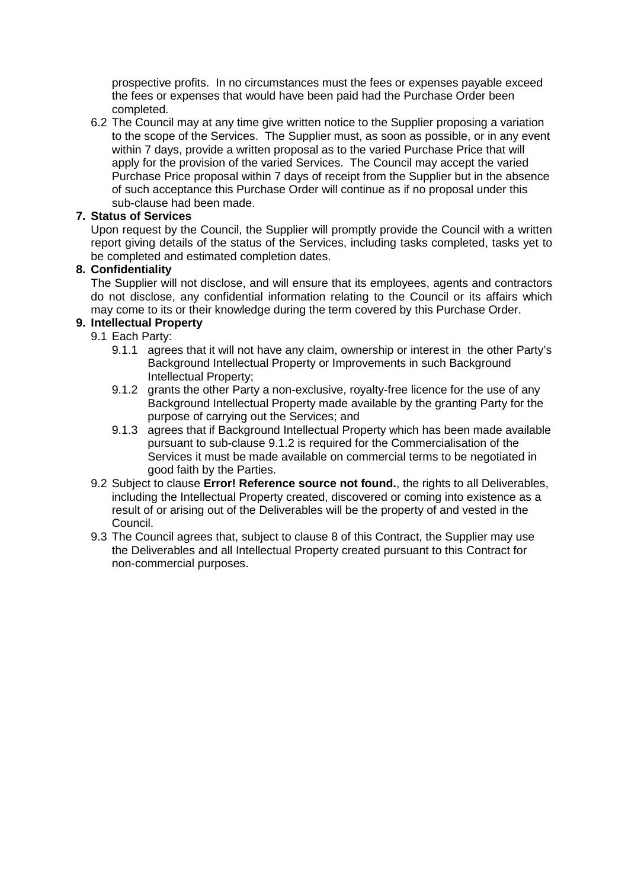prospective profits. In no circumstances must the fees or expenses payable exceed the fees or expenses that would have been paid had the Purchase Order been completed.

6.2 The Council may at any time give written notice to the Supplier proposing a variation to the scope of the Services. The Supplier must, as soon as possible, or in any event within 7 days, provide a written proposal as to the varied Purchase Price that will apply for the provision of the varied Services. The Council may accept the varied Purchase Price proposal within 7 days of receipt from the Supplier but in the absence of such acceptance this Purchase Order will continue as if no proposal under this sub-clause had been made.

### **7. Status of Services**

Upon request by the Council, the Supplier will promptly provide the Council with a written report giving details of the status of the Services, including tasks completed, tasks yet to be completed and estimated completion dates.

### **8. Confidentiality**

The Supplier will not disclose, and will ensure that its employees, agents and contractors do not disclose, any confidential information relating to the Council or its affairs which may come to its or their knowledge during the term covered by this Purchase Order.

# **9. Intellectual Property**

9.1 Each Party:

- 9.1.1 agrees that it will not have any claim, ownership or interest in the other Party's Background Intellectual Property or Improvements in such Background Intellectual Property;
- 9.1.2 grants the other Party a non-exclusive, royalty-free licence for the use of any Background Intellectual Property made available by the granting Party for the purpose of carrying out the Services; and
- 9.1.3 agrees that if Background Intellectual Property which has been made available pursuant to sub-clause 9.1.2 is required for the Commercialisation of the Services it must be made available on commercial terms to be negotiated in good faith by the Parties.
- 9.2 Subject to clause **Error! Reference source not found.**, the rights to all Deliverables, including the Intellectual Property created, discovered or coming into existence as a result of or arising out of the Deliverables will be the property of and vested in the Council.
- 9.3 The Council agrees that, subject to clause 8 of this Contract, the Supplier may use the Deliverables and all Intellectual Property created pursuant to this Contract for non-commercial purposes.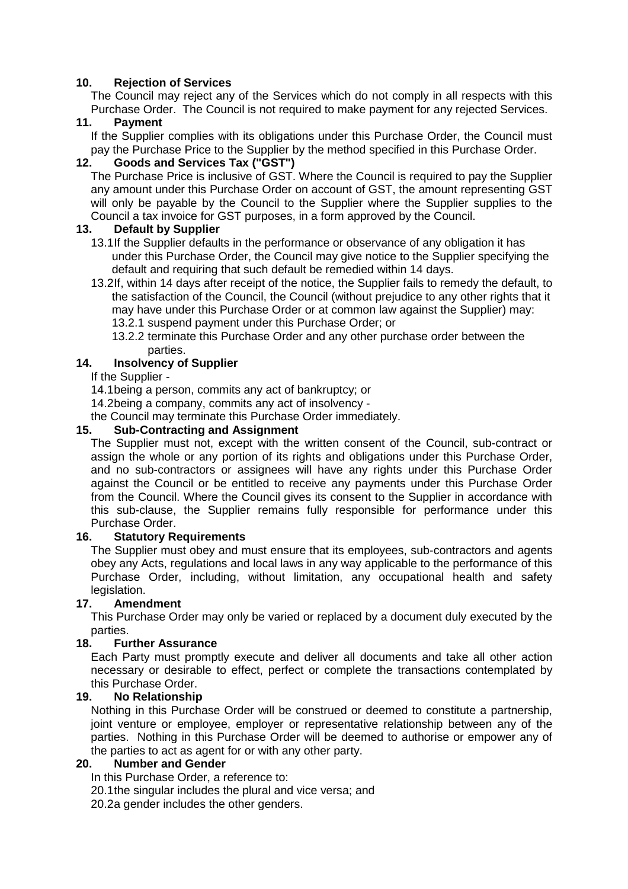### **10. Rejection of Services**

The Council may reject any of the Services which do not comply in all respects with this Purchase Order. The Council is not required to make payment for any rejected Services.

### **11. Payment**

If the Supplier complies with its obligations under this Purchase Order, the Council must pay the Purchase Price to the Supplier by the method specified in this Purchase Order.

### **12. Goods and Services Tax ("GST")**

The Purchase Price is inclusive of GST. Where the Council is required to pay the Supplier any amount under this Purchase Order on account of GST, the amount representing GST will only be payable by the Council to the Supplier where the Supplier supplies to the Council a tax invoice for GST purposes, in a form approved by the Council.

### **13. Default by Supplier**

- 13.1 If the Supplier defaults in the performance or observance of any obligation it has under this Purchase Order, the Council may give notice to the Supplier specifying the default and requiring that such default be remedied within 14 days.
- 13.2 If, within 14 days after receipt of the notice, the Supplier fails to remedy the default, to the satisfaction of the Council, the Council (without prejudice to any other rights that it may have under this Purchase Order or at common law against the Supplier) may: 13.2.1 suspend payment under this Purchase Order; or
	- 13.2.2 terminate this Purchase Order and any other purchase order between the parties.

# **14. Insolvency of Supplier**

If the Supplier -

- 14.1 being a person, commits any act of bankruptcy; or
- 14.2 being a company, commits any act of insolvency -

the Council may terminate this Purchase Order immediately.

# **15. Sub-Contracting and Assignment**

The Supplier must not, except with the written consent of the Council, sub-contract or assign the whole or any portion of its rights and obligations under this Purchase Order, and no sub-contractors or assignees will have any rights under this Purchase Order against the Council or be entitled to receive any payments under this Purchase Order from the Council. Where the Council gives its consent to the Supplier in accordance with this sub-clause, the Supplier remains fully responsible for performance under this Purchase Order.

### **16. Statutory Requirements**

The Supplier must obey and must ensure that its employees, sub-contractors and agents obey any Acts, regulations and local laws in any way applicable to the performance of this Purchase Order, including, without limitation, any occupational health and safety legislation.

### **17. Amendment**

This Purchase Order may only be varied or replaced by a document duly executed by the parties.

### **18. Further Assurance**

Each Party must promptly execute and deliver all documents and take all other action necessary or desirable to effect, perfect or complete the transactions contemplated by this Purchase Order.

### **19. No Relationship**

Nothing in this Purchase Order will be construed or deemed to constitute a partnership, joint venture or employee, employer or representative relationship between any of the parties. Nothing in this Purchase Order will be deemed to authorise or empower any of the parties to act as agent for or with any other party.

### **20. Number and Gender**

In this Purchase Order, a reference to:

20.1 the singular includes the plural and vice versa; and

20.2a gender includes the other genders.